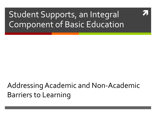# Student Supports, an Integral Component of Basic Education

### Addressing Academic and Non-Academic Barriers to Learning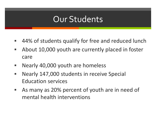## Our Students

- 44% of students qualify for free and reduced lunch
- About 10,000 youth are currently placed in foster care
- **Nearly 40,000 youth are homeless**
- **Nearly 147,000 students in receive Special** Education services
- As many as 20% percent of youth are in need of mental health interventions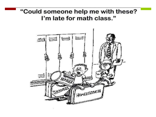#### "Could someone help me with these? I'm late for math class."

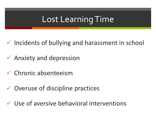# Lost Learning Time

- $\checkmark$  Incidents of bullying and harassment in school
- $\sqrt{\phantom{a}}$  Anxiety and depression
- $\checkmark$  Chronic absenteeism
- $\checkmark$  Overuse of discipline practices
- $\checkmark$  Use of aversive behavioral interventions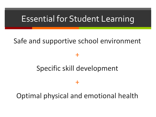### Essential for Student Learning

#### Safe and supportive school environment

+

### Specific skill development

+

Optimal physical and emotional health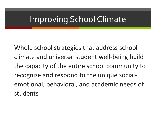# Improving School Climate

Whole school strategies that address school climate and universal student well-being build the capacity of the entire school community to recognize and respond to the unique socialemotional, behavioral, and academic needs of students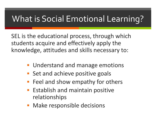# What is Social Emotional Learning?

SEL is the educational process, through which students acquire and effectively apply the knowledge, attitudes and skills necessary to:

- **Understand and manage emotions**
- **Set and achieve positive goals**
- **Feel and show empathy for others**
- **Establish and maintain positive** relationships
- **Make responsible decisions**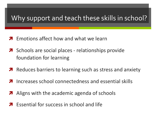#### Why support and teach these skills in school?

- **A** Fmotions affect how and what we learn
- **A** Schools are social places relationships provide foundation for learning
- **A** Reduces barriers to learning such as stress and anxiety
- Increases school connectedness and essential skills
- Aligns with the academic agenda of schools
- **7** Essential for success in school and life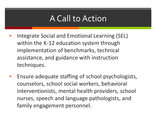## A Call to Action

- Integrate Social and Emotional Learning (SEL) within the K-12 education system through implementation of benchmarks, technical assistance, and guidance with instruction techniques.
- Ensure adequate staffing of school psychologists, counselors, school social workers, behavioral interventionists, mental health providers, school nurses, speech and language pathologists, and family engagement personnel.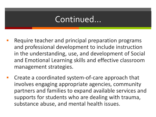### Continued…

- Require teacher and principal preparation programs and professional development to include instruction in the understanding, use, and development of Social and Emotional Learning skills and effective classroom management strategies.
- Create a coordinated system-of-care approach that involves engaging appropriate agencies, community partners and families to expand available services and supports for students who are dealing with trauma, substance abuse, and mental health issues.